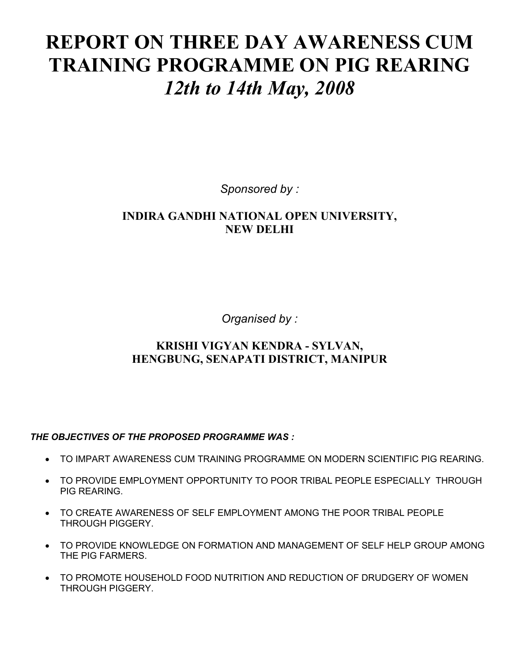# **REPORT ON THREE DAY AWARENESS CUM TRAINING PROGRAMME ON PIG REARING**  *12th to 14th May, 2008*

*Sponsored by :* 

# **INDIRA GANDHI NATIONAL OPEN UNIVERSITY, NEW DELHI**

*Organised by :* 

# **KRISHI VIGYAN KENDRA - SYLVAN, HENGBUNG, SENAPATI DISTRICT, MANIPUR**

## *THE OBJECTIVES OF THE PROPOSED PROGRAMME WAS :*

- TO IMPART AWARENESS CUM TRAINING PROGRAMME ON MODERN SCIENTIFIC PIG REARING.
- TO PROVIDE EMPLOYMENT OPPORTUNITY TO POOR TRIBAL PEOPLE ESPECIALLY THROUGH PIG REARING.
- TO CREATE AWARENESS OF SELF EMPLOYMENT AMONG THE POOR TRIBAL PEOPLE THROUGH PIGGERY.
- TO PROVIDE KNOWLEDGE ON FORMATION AND MANAGEMENT OF SELF HELP GROUP AMONG THE PIG FARMERS.
- TO PROMOTE HOUSEHOLD FOOD NUTRITION AND REDUCTION OF DRUDGERY OF WOMEN THROUGH PIGGERY.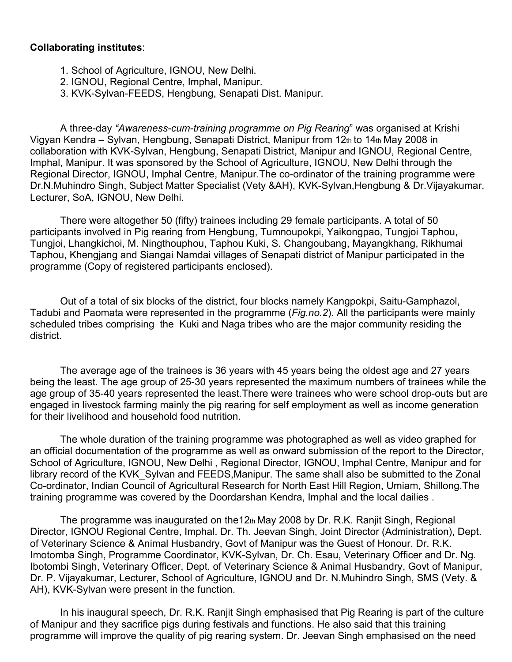### **Collaborating institutes**:

- 1. School of Agriculture, IGNOU, New Delhi.
- 2. IGNOU, Regional Centre, Imphal, Manipur.
- 3. KVK-Sylvan-FEEDS, Hengbung, Senapati Dist. Manipur.

A three-day *"Awareness-cum-training programme on Pig Rearing*" was organised at Krishi Vigyan Kendra – Sylvan, Hengbung, Senapati District, Manipur from 12th to 14th May 2008 in collaboration with KVK-Sylvan, Hengbung, Senapati District, Manipur and IGNOU, Regional Centre, Imphal, Manipur. It was sponsored by the School of Agriculture, IGNOU, New Delhi through the Regional Director, IGNOU, Imphal Centre, Manipur.The co-ordinator of the training programme were Dr.N.Muhindro Singh, Subject Matter Specialist (Vety &AH), KVK-Sylvan,Hengbung & Dr.Vijayakumar, Lecturer, SoA, IGNOU, New Delhi.

There were altogether 50 (fifty) trainees including 29 female participants. A total of 50 participants involved in Pig rearing from Hengbung, Tumnoupokpi, Yaikongpao, Tungjoi Taphou, Tungjoi, Lhangkichoi, M. Ningthouphou, Taphou Kuki, S. Changoubang, Mayangkhang, Rikhumai Taphou, Khengjang and Siangai Namdai villages of Senapati district of Manipur participated in the programme (Copy of registered participants enclosed).

Out of a total of six blocks of the district, four blocks namely Kangpokpi, Saitu-Gamphazol, Tadubi and Paomata were represented in the programme (*Fig.no.2*). All the participants were mainly scheduled tribes comprising the Kuki and Naga tribes who are the major community residing the district.

The average age of the trainees is 36 years with 45 years being the oldest age and 27 years being the least. The age group of 25-30 years represented the maximum numbers of trainees while the age group of 35-40 years represented the least*.*There were trainees who were school drop-outs but are engaged in livestock farming mainly the pig rearing for self employment as well as income generation for their livelihood and household food nutrition.

The whole duration of the training programme was photographed as well as video graphed for an official documentation of the programme as well as onward submission of the report to the Director, School of Agriculture, IGNOU, New Delhi , Regional Director, IGNOU, Imphal Centre, Manipur and for library record of the KVK\_Sylvan and FEEDS,Manipur. The same shall also be submitted to the Zonal Co-ordinator, Indian Council of Agricultural Research for North East Hill Region, Umiam, Shillong.The training programme was covered by the Doordarshan Kendra, Imphal and the local dailies .

The programme was inaugurated on the12th May 2008 by Dr. R.K. Ranjit Singh, Regional Director, IGNOU Regional Centre, Imphal. Dr. Th. Jeevan Singh, Joint Director (Administration), Dept. of Veterinary Science & Animal Husbandry, Govt of Manipur was the Guest of Honour. Dr. R.K. Imotomba Singh, Programme Coordinator, KVK-Sylvan, Dr. Ch. Esau, Veterinary Officer and Dr. Ng. Ibotombi Singh, Veterinary Officer, Dept. of Veterinary Science & Animal Husbandry, Govt of Manipur, Dr. P. Vijayakumar, Lecturer, School of Agriculture, IGNOU and Dr. N.Muhindro Singh, SMS (Vety. & AH), KVK-Sylvan were present in the function.

In his inaugural speech, Dr. R.K. Ranjit Singh emphasised that Pig Rearing is part of the culture of Manipur and they sacrifice pigs during festivals and functions. He also said that this training programme will improve the quality of pig rearing system. Dr. Jeevan Singh emphasised on the need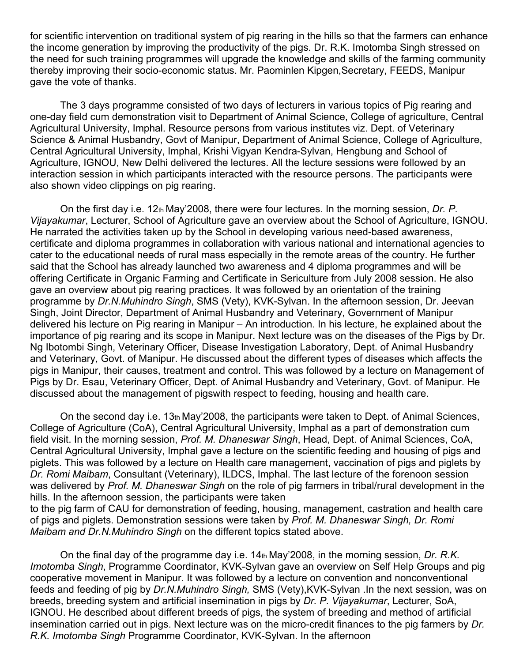for scientific intervention on traditional system of pig rearing in the hills so that the farmers can enhance the income generation by improving the productivity of the pigs. Dr. R.K. Imotomba Singh stressed on the need for such training programmes will upgrade the knowledge and skills of the farming community thereby improving their socio-economic status. Mr. Paominlen Kipgen,Secretary, FEEDS, Manipur gave the vote of thanks.

The 3 days programme consisted of two days of lecturers in various topics of Pig rearing and one-day field cum demonstration visit to Department of Animal Science, College of agriculture, Central Agricultural University, Imphal. Resource persons from various institutes viz. Dept. of Veterinary Science & Animal Husbandry, Govt of Manipur, Department of Animal Science, College of Agriculture, Central Agricultural University, Imphal, Krishi Vigyan Kendra-Sylvan, Hengbung and School of Agriculture, IGNOU, New Delhi delivered the lectures. All the lecture sessions were followed by an interaction session in which participants interacted with the resource persons. The participants were also shown video clippings on pig rearing.

On the first day i.e. 12th May'2008, there were four lectures. In the morning session, *Dr. P. Vijayakumar*, Lecturer, School of Agriculture gave an overview about the School of Agriculture, IGNOU. He narrated the activities taken up by the School in developing various need-based awareness, certificate and diploma programmes in collaboration with various national and international agencies to cater to the educational needs of rural mass especially in the remote areas of the country. He further said that the School has already launched two awareness and 4 diploma programmes and will be offering Certificate in Organic Farming and Certificate in Sericulture from July 2008 session. He also gave an overview about pig rearing practices. It was followed by an orientation of the training programme by *Dr.N.Muhindro Singh*, SMS (Vety), KVK-Sylvan. In the afternoon session, Dr. Jeevan Singh, Joint Director, Department of Animal Husbandry and Veterinary, Government of Manipur delivered his lecture on Pig rearing in Manipur – An introduction. In his lecture, he explained about the importance of pig rearing and its scope in Manipur. Next lecture was on the diseases of the Pigs by Dr. Ng Ibotombi Singh, Veterinary Officer, Disease Investigation Laboratory, Dept. of Animal Husbandry and Veterinary, Govt. of Manipur. He discussed about the different types of diseases which affects the pigs in Manipur, their causes, treatment and control. This was followed by a lecture on Management of Pigs by Dr. Esau, Veterinary Officer, Dept. of Animal Husbandry and Veterinary, Govt. of Manipur. He discussed about the management of pigswith respect to feeding, housing and health care.

On the second day i.e. 13th May'2008, the participants were taken to Dept. of Animal Sciences, College of Agriculture (CoA), Central Agricultural University, Imphal as a part of demonstration cum field visit. In the morning session, *Prof. M. Dhaneswar Singh*, Head, Dept. of Animal Sciences, CoA, Central Agricultural University, Imphal gave a lecture on the scientific feeding and housing of pigs and piglets. This was followed by a lecture on Health care management, vaccination of pigs and piglets by *Dr. Romi Maibam*, Consultant (Veterinary), ILDCS, Imphal. The last lecture of the forenoon session was delivered by *Prof. M. Dhaneswar Singh* on the role of pig farmers in tribal/rural development in the hills. In the afternoon session, the participants were taken to the pig farm of CAU for demonstration of feeding, housing, management, castration and health care of pigs and piglets. Demonstration sessions were taken by *Prof. M. Dhaneswar Singh, Dr. Romi Maibam and Dr.N.Muhindro Singh* on the different topics stated above.

On the final day of the programme day i.e. 14th May'2008, in the morning session, *Dr. R.K. Imotomba Singh*, Programme Coordinator, KVK-Sylvan gave an overview on Self Help Groups and pig cooperative movement in Manipur. It was followed by a lecture on convention and nonconventional feeds and feeding of pig by *Dr.N.Muhindro Singh,* SMS (Vety),KVK-Sylvan .In the next session, was on breeds, breeding system and artificial insemination in pigs by *Dr. P. Vijayakumar*, Lecturer, SoA, IGNOU. He described about different breeds of pigs, the system of breeding and method of artificial insemination carried out in pigs. Next lecture was on the micro-credit finances to the pig farmers by *Dr. R.K. Imotomba Singh* Programme Coordinator, KVK-Sylvan. In the afternoon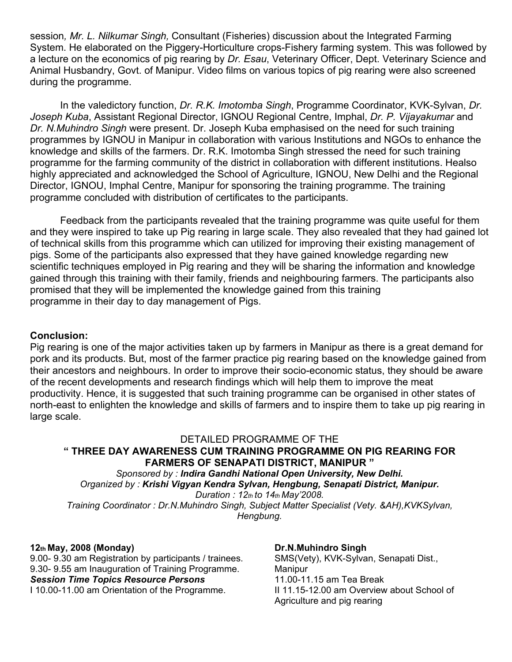session*, Mr. L. Nilkumar Singh,* Consultant (Fisheries) discussion about the Integrated Farming System. He elaborated on the Piggery-Horticulture crops-Fishery farming system. This was followed by a lecture on the economics of pig rearing by *Dr. Esau*, Veterinary Officer, Dept. Veterinary Science and Animal Husbandry, Govt. of Manipur. Video films on various topics of pig rearing were also screened during the programme.

In the valedictory function, *Dr. R.K. Imotomba Singh*, Programme Coordinator, KVK-Sylvan, *Dr. Joseph Kuba*, Assistant Regional Director, IGNOU Regional Centre, Imphal, *Dr. P. Vijayakumar* and *Dr. N.Muhindro Singh* were present. Dr. Joseph Kuba emphasised on the need for such training programmes by IGNOU in Manipur in collaboration with various Institutions and NGOs to enhance the knowledge and skills of the farmers. Dr. R.K. Imotomba Singh stressed the need for such training programme for the farming community of the district in collaboration with different institutions. Healso highly appreciated and acknowledged the School of Agriculture, IGNOU, New Delhi and the Regional Director, IGNOU, Imphal Centre, Manipur for sponsoring the training programme. The training programme concluded with distribution of certificates to the participants.

Feedback from the participants revealed that the training programme was quite useful for them and they were inspired to take up Pig rearing in large scale. They also revealed that they had gained lot of technical skills from this programme which can utilized for improving their existing management of pigs. Some of the participants also expressed that they have gained knowledge regarding new scientific techniques employed in Pig rearing and they will be sharing the information and knowledge gained through this training with their family, friends and neighbouring farmers. The participants also promised that they will be implemented the knowledge gained from this training programme in their day to day management of Pigs.

## **Conclusion:**

Pig rearing is one of the major activities taken up by farmers in Manipur as there is a great demand for pork and its products. But, most of the farmer practice pig rearing based on the knowledge gained from their ancestors and neighbours. In order to improve their socio-economic status, they should be aware of the recent developments and research findings which will help them to improve the meat productivity. Hence, it is suggested that such training programme can be organised in other states of north-east to enlighten the knowledge and skills of farmers and to inspire them to take up pig rearing in large scale.

#### DETAILED PROGRAMME OF THE **" THREE DAY AWARENESS CUM TRAINING PROGRAMME ON PIG REARING FOR**

**FARMERS OF SENAPATI DISTRICT, MANIPUR "**  *Sponsored by : Indira Gandhi National Open University, New Delhi. Organized by : Krishi Vigyan Kendra Sylvan, Hengbung, Senapati District, Manipur. Duration : 12th to 14th May'2008.* 

*Training Coordinator : Dr.N.Muhindro Singh, Subject Matter Specialist (Vety. &AH),KVKSylvan, Hengbung.* 

#### **12th May, 2008 (Monday)**

9.00- 9.30 am Registration by participants / trainees. 9.30- 9.55 am Inauguration of Training Programme. *Session Time Topics Resource Persons*  I 10.00-11.00 am Orientation of the Programme.

**Dr.N.Muhindro Singh**  SMS(Vety), KVK-Sylvan, Senapati Dist., Manipur 11.00-11.15 am Tea Break II 11.15-12.00 am Overview about School of Agriculture and pig rearing